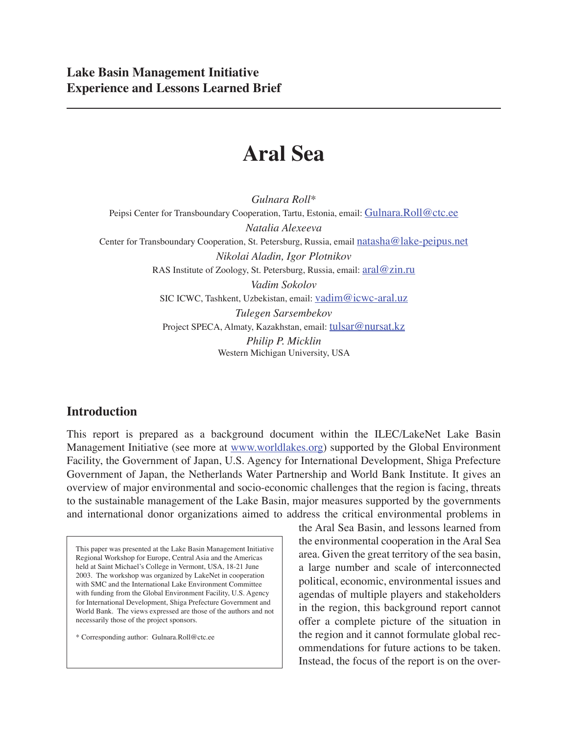# **Aral Sea**

*Gulnara Roll\** Peipsi Center for Transboundary Cooperation, Tartu, Estonia, email: Gulnara.Roll@ctc.ee *Natalia Alexeeva* Center for Transboundary Cooperation, St. Petersburg, Russia, email natasha@lake-peipus.net *Nikolai Aladin, Igor Plotnikov* RAS Institute of Zoology, St. Petersburg, Russia, email: aral@zin.ru *Vadim Sokolov* SIC ICWC, Tashkent, Uzbekistan, email: vadim@icwc-aral.uz *Tulegen Sarsembekov* Project SPECA, Almaty, Kazakhstan, email: tulsar@nursat.kz *Philip P. Micklin* Western Michigan University, USA

## **Introduction**

This report is prepared as a background document within the ILEC/LakeNet Lake Basin Management Initiative (see more at www.worldlakes.org) supported by the Global Environment Facility, the Government of Japan, U.S. Agency for International Development, Shiga Prefecture Government of Japan, the Netherlands Water Partnership and World Bank Institute. It gives an overview of major environmental and socio-economic challenges that the region is facing, threats to the sustainable management of the Lake Basin, major measures supported by the governments and international donor organizations aimed to address the critical environmental problems in

This paper was presented at the Lake Basin Management Initiative Regional Workshop for Europe, Central Asia and the Americas held at Saint Michael's College in Vermont, USA, 18-21 June 2003. The workshop was organized by LakeNet in cooperation with SMC and the International Lake Environment Committee with funding from the Global Environment Facility, U.S. Agency for International Development, Shiga Prefecture Government and World Bank. The views expressed are those of the authors and not necessarily those of the project sponsors.

\* Corresponding author: Gulnara.Roll@ctc.ee

the Aral Sea Basin, and lessons learned from the environmental cooperation in the Aral Sea area. Given the great territory of the sea basin, a large number and scale of interconnected political, economic, environmental issues and agendas of multiple players and stakeholders in the region, this background report cannot offer a complete picture of the situation in the region and it cannot formulate global recommendations for future actions to be taken. Instead, the focus of the report is on the over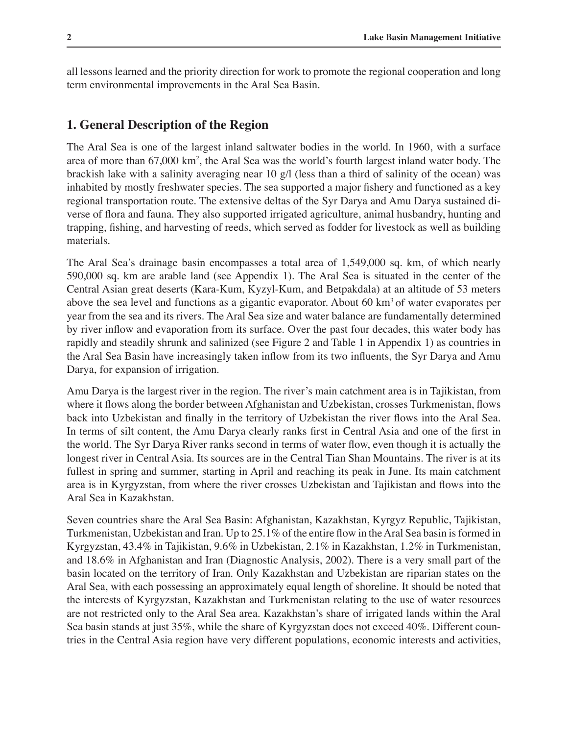all lessons learned and the priority direction for work to promote the regional cooperation and long term environmental improvements in the Aral Sea Basin.

## **1. General Description of the Region**

The Aral Sea is one of the largest inland saltwater bodies in the world. In 1960, with a surface area of more than 67,000 km<sup>2</sup>, the Aral Sea was the world's fourth largest inland water body. The brackish lake with a salinity averaging near 10 g/l (less than a third of salinity of the ocean) was inhabited by mostly freshwater species. The sea supported a major fishery and functioned as a key regional transportation route. The extensive deltas of the Syr Darya and Amu Darya sustained diverse of flora and fauna. They also supported irrigated agriculture, animal husbandry, hunting and trapping, fishing, and harvesting of reeds, which served as fodder for livestock as well as building materials.

The Aral Sea's drainage basin encompasses a total area of 1,549,000 sq. km, of which nearly 590,000 sq. km are arable land (see Appendix 1). The Aral Sea is situated in the center of the Central Asian great deserts (Kara-Kum, Kyzyl-Kum, and Betpakdala) at an altitude of 53 meters above the sea level and functions as a gigantic evaporator. About 60  $km<sup>3</sup>$  of water evaporates per year from the sea and its rivers. The Aral Sea size and water balance are fundamentally determined by river inflow and evaporation from its surface. Over the past four decades, this water body has rapidly and steadily shrunk and salinized (see Figure 2 and Table 1 in Appendix 1) as countries in the Aral Sea Basin have increasingly taken inflow from its two influents, the Syr Darya and Amu Darya, for expansion of irrigation.

Amu Darya is the largest river in the region. The river's main catchment area is in Tajikistan, from where it flows along the border between Afghanistan and Uzbekistan, crosses Turkmenistan, flows back into Uzbekistan and finally in the territory of Uzbekistan the river flows into the Aral Sea. In terms of silt content, the Amu Darya clearly ranks first in Central Asia and one of the first in the world. The Syr Darya River ranks second in terms of water flow, even though it is actually the longest river in Central Asia. Its sources are in the Central Tian Shan Mountains. The river is at its fullest in spring and summer, starting in April and reaching its peak in June. Its main catchment area is in Kyrgyzstan, from where the river crosses Uzbekistan and Tajikistan and flows into the Aral Sea in Kazakhstan.

Seven countries share the Aral Sea Basin: Afghanistan, Kazakhstan, Kyrgyz Republic, Tajikistan, Turkmenistan, Uzbekistan and Iran. Up to 25.1% of the entire flow in the Aral Sea basin is formed in Kyrgyzstan, 43.4% in Tajikistan, 9.6% in Uzbekistan, 2.1% in Kazakhstan, 1.2% in Turkmenistan, and 18.6% in Afghanistan and Iran (Diagnostic Analysis, 2002). There is a very small part of the basin located on the territory of Iran. Only Kazakhstan and Uzbekistan are riparian states on the Aral Sea, with each possessing an approximately equal length of shoreline. It should be noted that the interests of Kyrgyzstan, Kazakhstan and Turkmenistan relating to the use of water resources are not restricted only to the Aral Sea area. Kazakhstan's share of irrigated lands within the Aral Sea basin stands at just 35%, while the share of Kyrgyzstan does not exceed 40%. Different countries in the Central Asia region have very different populations, economic interests and activities,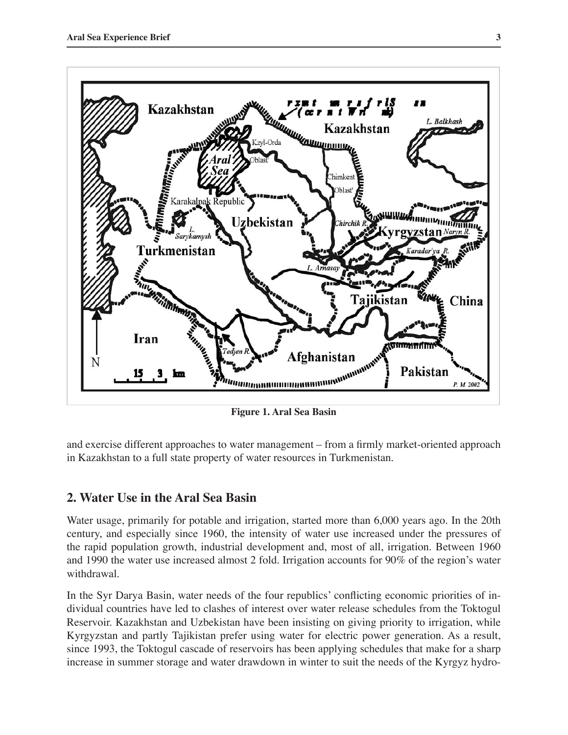

**Figure 1. Aral Sea Basin**

and exercise different approaches to water management – from a firmly market-oriented approach in Kazakhstan to a full state property of water resources in Turkmenistan.

## **2. Water Use in the Aral Sea Basin**

Water usage, primarily for potable and irrigation, started more than 6,000 years ago. In the 20th century, and especially since 1960, the intensity of water use increased under the pressures of the rapid population growth, industrial development and, most of all, irrigation. Between 1960 and 1990 the water use increased almost 2 fold. Irrigation accounts for 90% of the region's water withdrawal.

In the Syr Darya Basin, water needs of the four republics' conflicting economic priorities of individual countries have led to clashes of interest over water release schedules from the Toktogul Reservoir. Kazakhstan and Uzbekistan have been insisting on giving priority to irrigation, while Kyrgyzstan and partly Tajikistan prefer using water for electric power generation. As a result, since 1993, the Toktogul cascade of reservoirs has been applying schedules that make for a sharp increase in summer storage and water drawdown in winter to suit the needs of the Kyrgyz hydro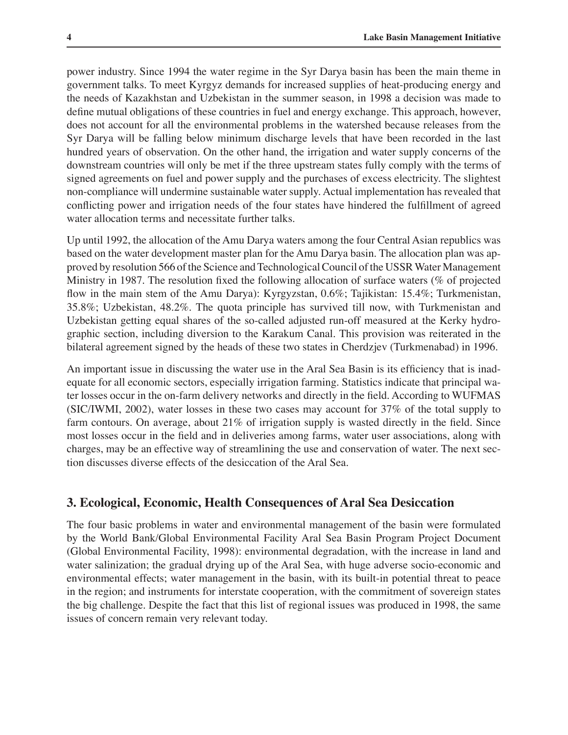power industry. Since 1994 the water regime in the Syr Darya basin has been the main theme in government talks. To meet Kyrgyz demands for increased supplies of heat-producing energy and the needs of Kazakhstan and Uzbekistan in the summer season, in 1998 a decision was made to define mutual obligations of these countries in fuel and energy exchange. This approach, however, does not account for all the environmental problems in the watershed because releases from the Syr Darya will be falling below minimum discharge levels that have been recorded in the last hundred years of observation. On the other hand, the irrigation and water supply concerns of the downstream countries will only be met if the three upstream states fully comply with the terms of signed agreements on fuel and power supply and the purchases of excess electricity. The slightest non-compliance will undermine sustainable water supply. Actual implementation has revealed that conflicting power and irrigation needs of the four states have hindered the fulfillment of agreed water allocation terms and necessitate further talks.

Up until 1992, the allocation of the Amu Darya waters among the four Central Asian republics was based on the water development master plan for the Amu Darya basin. The allocation plan was approved by resolution 566 of the Science and Technological Council of the USSR Water Management Ministry in 1987. The resolution fixed the following allocation of surface waters (% of projected flow in the main stem of the Amu Darya): Kyrgyzstan, 0.6%; Tajikistan: 15.4%; Turkmenistan, 35.8%; Uzbekistan, 48.2%. The quota principle has survived till now, with Turkmenistan and Uzbekistan getting equal shares of the so-called adjusted run-off measured at the Kerky hydrographic section, including diversion to the Karakum Canal. This provision was reiterated in the bilateral agreement signed by the heads of these two states in Cherdzjev (Turkmenabad) in 1996.

An important issue in discussing the water use in the Aral Sea Basin is its efficiency that is inadequate for all economic sectors, especially irrigation farming. Statistics indicate that principal water losses occur in the on-farm delivery networks and directly in the field. According to WUFMAS (SIC/IWMI, 2002), water losses in these two cases may account for 37% of the total supply to farm contours. On average, about 21% of irrigation supply is wasted directly in the field. Since most losses occur in the field and in deliveries among farms, water user associations, along with charges, may be an effective way of streamlining the use and conservation of water. The next section discusses diverse effects of the desiccation of the Aral Sea.

## **3. Ecological, Economic, Health Consequences of Aral Sea Desiccation**

The four basic problems in water and environmental management of the basin were formulated by the World Bank/Global Environmental Facility Aral Sea Basin Program Project Document (Global Environmental Facility, 1998): environmental degradation, with the increase in land and water salinization; the gradual drying up of the Aral Sea, with huge adverse socio-economic and environmental effects; water management in the basin, with its built-in potential threat to peace in the region; and instruments for interstate cooperation, with the commitment of sovereign states the big challenge. Despite the fact that this list of regional issues was produced in 1998, the same issues of concern remain very relevant today.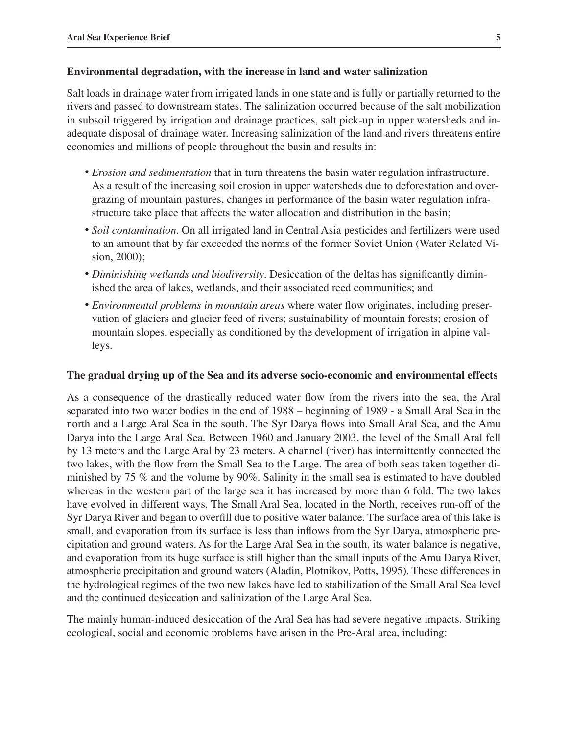#### **Environmental degradation, with the increase in land and water salinization**

Salt loads in drainage water from irrigated lands in one state and is fully or partially returned to the rivers and passed to downstream states. The salinization occurred because of the salt mobilization in subsoil triggered by irrigation and drainage practices, salt pick-up in upper watersheds and inadequate disposal of drainage water. Increasing salinization of the land and rivers threatens entire economies and millions of people throughout the basin and results in:

- *Erosion and sedimentation* that in turn threatens the basin water regulation infrastructure. As a result of the increasing soil erosion in upper watersheds due to deforestation and overgrazing of mountain pastures, changes in performance of the basin water regulation infrastructure take place that affects the water allocation and distribution in the basin;
- *Soil contamination.* On all irrigated land in Central Asia pesticides and fertilizers were used to an amount that by far exceeded the norms of the former Soviet Union (Water Related Vision, 2000);
- *Diminishing wetlands and biodiversity*. Desiccation of the deltas has significantly diminished the area of lakes, wetlands, and their associated reed communities; and
- *Environmental problems in mountain areas* where water flow originates, including preservation of glaciers and glacier feed of rivers; sustainability of mountain forests; erosion of mountain slopes, especially as conditioned by the development of irrigation in alpine valleys.

#### **The gradual drying up of the Sea and its adverse socio-economic and environmental effects**

As a consequence of the drastically reduced water flow from the rivers into the sea, the Aral separated into two water bodies in the end of 1988 – beginning of 1989 - a Small Aral Sea in the north and a Large Aral Sea in the south. The Syr Darya flows into Small Aral Sea, and the Amu Darya into the Large Aral Sea. Between 1960 and January 2003, the level of the Small Aral fell by 13 meters and the Large Aral by 23 meters. A channel (river) has intermittently connected the two lakes, with the flow from the Small Sea to the Large. The area of both seas taken together diminished by 75 % and the volume by 90%. Salinity in the small sea is estimated to have doubled whereas in the western part of the large sea it has increased by more than 6 fold. The two lakes have evolved in different ways. The Small Aral Sea, located in the North, receives run-off of the Syr Darya River and began to overfill due to positive water balance. The surface area of this lake is small, and evaporation from its surface is less than inflows from the Syr Darya, atmospheric precipitation and ground waters. As for the Large Aral Sea in the south, its water balance is negative, and evaporation from its huge surface is still higher than the small inputs of the Amu Darya River, atmospheric precipitation and ground waters (Aladin, Plotnikov, Potts, 1995). These differences in the hydrological regimes of the two new lakes have led to stabilization of the Small Aral Sea level and the continued desiccation and salinization of the Large Aral Sea.

The mainly human-induced desiccation of the Aral Sea has had severe negative impacts. Striking ecological, social and economic problems have arisen in the Pre-Aral area, including: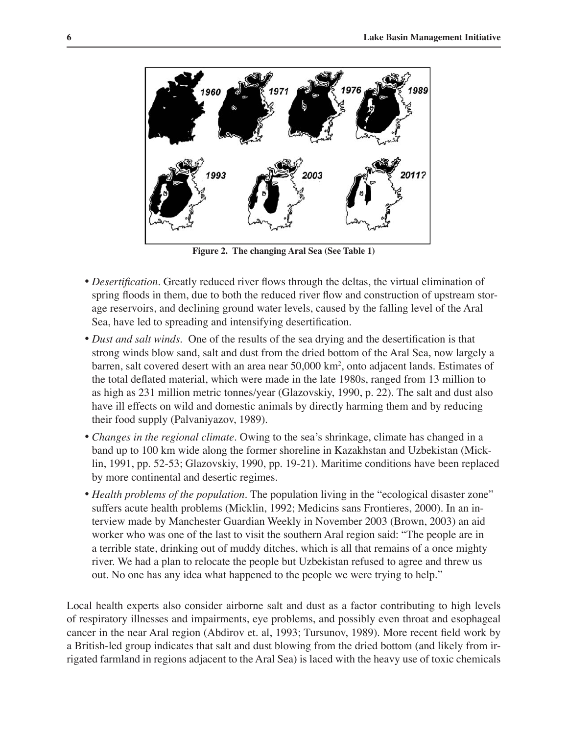

**Figure 2. The changing Aral Sea (See Table 1)**

- *Desertification.* Greatly reduced river flows through the deltas, the virtual elimination of spring floods in them, due to both the reduced river flow and construction of upstream storage reservoirs, and declining ground water levels, caused by the falling level of the Aral Sea, have led to spreading and intensifying desertification.
- *Dust and salt winds.* One of the results of the sea drying and the desertification is that strong winds blow sand, salt and dust from the dried bottom of the Aral Sea, now largely a barren, salt covered desert with an area near 50,000 km2 , onto adjacent lands. Estimates of the total deflated material, which were made in the late 1980s, ranged from 13 million to as high as 231 million metric tonnes/year (Glazovskiy, 1990, p. 22). The salt and dust also have ill effects on wild and domestic animals by directly harming them and by reducing their food supply (Palvaniyazov, 1989).
- *Changes in the regional climate*. Owing to the sea's shrinkage, climate has changed in a band up to 100 km wide along the former shoreline in Kazakhstan and Uzbekistan (Micklin, 1991, pp. 52-53; Glazovskiy, 1990, pp. 19-21). Maritime conditions have been replaced by more continental and desertic regimes.
- *Health problems of the population.* The population living in the "ecological disaster zone" suffers acute health problems (Micklin, 1992; Medicins sans Frontieres, 2000). In an interview made by Manchester Guardian Weekly in November 2003 (Brown, 2003) an aid worker who was one of the last to visit the southern Aral region said: "The people are in a terrible state, drinking out of muddy ditches, which is all that remains of a once mighty river. We had a plan to relocate the people but Uzbekistan refused to agree and threw us out. No one has any idea what happened to the people we were trying to help."

Local health experts also consider airborne salt and dust as a factor contributing to high levels of respiratory illnesses and impairments, eye problems, and possibly even throat and esophageal cancer in the near Aral region (Abdirov et. al, 1993; Tursunov, 1989). More recent field work by a British-led group indicates that salt and dust blowing from the dried bottom (and likely from irrigated farmland in regions adjacent to the Aral Sea) is laced with the heavy use of toxic chemicals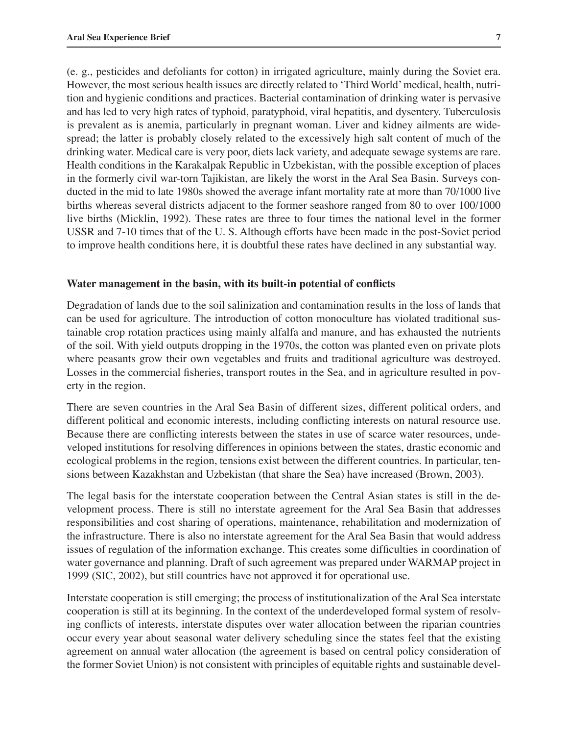(e. g., pesticides and defoliants for cotton) in irrigated agriculture, mainly during the Soviet era. However, the most serious health issues are directly related to ʻThird World' medical, health, nutrition and hygienic conditions and practices. Bacterial contamination of drinking water is pervasive and has led to very high rates of typhoid, paratyphoid, viral hepatitis, and dysentery. Tuberculosis is prevalent as is anemia, particularly in pregnant woman. Liver and kidney ailments are widespread; the latter is probably closely related to the excessively high salt content of much of the drinking water. Medical care is very poor, diets lack variety, and adequate sewage systems are rare. Health conditions in the Karakalpak Republic in Uzbekistan, with the possible exception of places in the formerly civil war-torn Tajikistan, are likely the worst in the Aral Sea Basin. Surveys conducted in the mid to late 1980s showed the average infant mortality rate at more than 70/1000 live births whereas several districts adjacent to the former seashore ranged from 80 to over 100/1000 live births (Micklin, 1992). These rates are three to four times the national level in the former USSR and 7-10 times that of the U. S. Although efforts have been made in the post-Soviet period to improve health conditions here, it is doubtful these rates have declined in any substantial way.

#### **Water management in the basin, with its built-in potential of conflicts**

Degradation of lands due to the soil salinization and contamination results in the loss of lands that can be used for agriculture. The introduction of cotton monoculture has violated traditional sustainable crop rotation practices using mainly alfalfa and manure, and has exhausted the nutrients of the soil. With yield outputs dropping in the 1970s, the cotton was planted even on private plots where peasants grow their own vegetables and fruits and traditional agriculture was destroyed. Losses in the commercial fisheries, transport routes in the Sea, and in agriculture resulted in poverty in the region.

There are seven countries in the Aral Sea Basin of different sizes, different political orders, and different political and economic interests, including conflicting interests on natural resource use. Because there are conflicting interests between the states in use of scarce water resources, undeveloped institutions for resolving differences in opinions between the states, drastic economic and ecological problems in the region, tensions exist between the different countries. In particular, tensions between Kazakhstan and Uzbekistan (that share the Sea) have increased (Brown, 2003).

The legal basis for the interstate cooperation between the Central Asian states is still in the development process. There is still no interstate agreement for the Aral Sea Basin that addresses responsibilities and cost sharing of operations, maintenance, rehabilitation and modernization of the infrastructure. There is also no interstate agreement for the Aral Sea Basin that would address issues of regulation of the information exchange. This creates some difficulties in coordination of water governance and planning. Draft of such agreement was prepared under WARMAP project in 1999 (SIC, 2002), but still countries have not approved it for operational use.

Interstate cooperation is still emerging; the process of institutionalization of the Aral Sea interstate cooperation is still at its beginning. In the context of the underdeveloped formal system of resolving conflicts of interests, interstate disputes over water allocation between the riparian countries occur every year about seasonal water delivery scheduling since the states feel that the existing agreement on annual water allocation (the agreement is based on central policy consideration of the former Soviet Union) is not consistent with principles of equitable rights and sustainable devel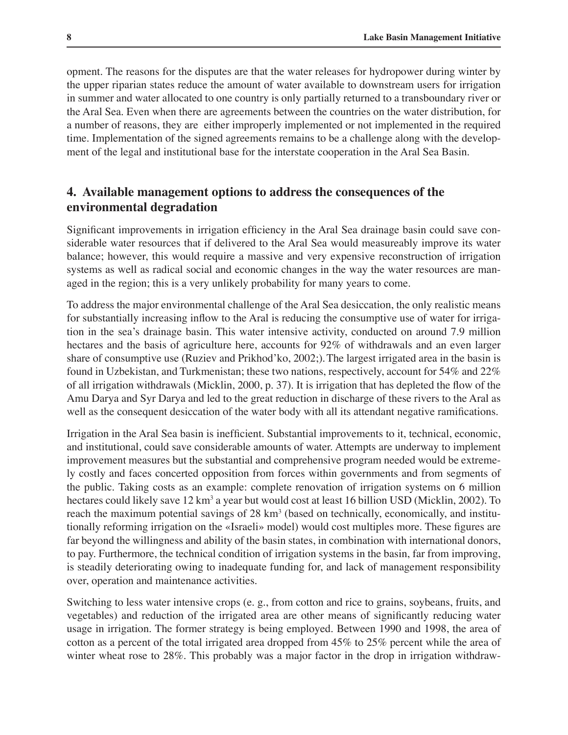opment. The reasons for the disputes are that the water releases for hydropower during winter by the upper riparian states reduce the amount of water available to downstream users for irrigation in summer and water allocated to one country is only partially returned to a transboundary river or the Aral Sea. Even when there are agreements between the countries on the water distribution, for a number of reasons, they are either improperly implemented or not implemented in the required time. Implementation of the signed agreements remains to be a challenge along with the development of the legal and institutional base for the interstate cooperation in the Aral Sea Basin.

# **4. Available management options to address the consequences of the environmental degradation**

Significant improvements in irrigation efficiency in the Aral Sea drainage basin could save considerable water resources that if delivered to the Aral Sea would measureably improve its water balance; however, this would require a massive and very expensive reconstruction of irrigation systems as well as radical social and economic changes in the way the water resources are managed in the region; this is a very unlikely probability for many years to come.

To address the major environmental challenge of the Aral Sea desiccation, the only realistic means for substantially increasing inflow to the Aral is reducing the consumptive use of water for irrigation in the sea's drainage basin. This water intensive activity, conducted on around 7.9 million hectares and the basis of agriculture here, accounts for 92% of withdrawals and an even larger share of consumptive use (Ruziev and Prikhod'ko, 2002;).The largest irrigated area in the basin is found in Uzbekistan, and Turkmenistan; these two nations, respectively, account for 54% and 22% of all irrigation withdrawals (Micklin, 2000, p. 37). It is irrigation that has depleted the flow of the Amu Darya and Syr Darya and led to the great reduction in discharge of these rivers to the Aral as well as the consequent desiccation of the water body with all its attendant negative ramifications.

Irrigation in the Aral Sea basin is inefficient. Substantial improvements to it, technical, economic, and institutional, could save considerable amounts of water. Attempts are underway to implement improvement measures but the substantial and comprehensive program needed would be extremely costly and faces concerted opposition from forces within governments and from segments of the public. Taking costs as an example: complete renovation of irrigation systems on 6 million hectares could likely save 12 km<sup>3</sup> a year but would cost at least 16 billion USD (Micklin, 2002). To reach the maximum potential savings of  $28 \text{ km}^3$  (based on technically, economically, and institutionally reforming irrigation on the «Israeli» model) would cost multiples more. These figures are far beyond the willingness and ability of the basin states, in combination with international donors, to pay. Furthermore, the technical condition of irrigation systems in the basin, far from improving, is steadily deteriorating owing to inadequate funding for, and lack of management responsibility over, operation and maintenance activities.

Switching to less water intensive crops (e. g., from cotton and rice to grains, soybeans, fruits, and vegetables) and reduction of the irrigated area are other means of significantly reducing water usage in irrigation. The former strategy is being employed. Between 1990 and 1998, the area of cotton as a percent of the total irrigated area dropped from 45% to 25% percent while the area of winter wheat rose to 28%. This probably was a major factor in the drop in irrigation withdraw-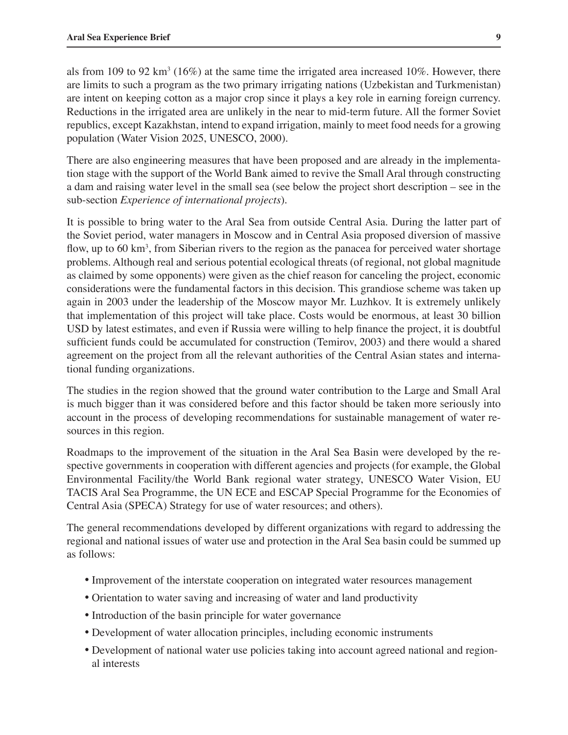als from 109 to 92  $\text{km}^3$  (16%) at the same time the irrigated area increased 10%. However, there are limits to such a program as the two primary irrigating nations (Uzbekistan and Turkmenistan) are intent on keeping cotton as a major crop since it plays a key role in earning foreign currency. Reductions in the irrigated area are unlikely in the near to mid-term future. All the former Soviet republics, except Kazakhstan, intend to expand irrigation, mainly to meet food needs for a growing population (Water Vision 2025, UNESCO, 2000).

There are also engineering measures that have been proposed and are already in the implementation stage with the support of the World Bank aimed to revive the Small Aral through constructing a dam and raising water level in the small sea (see below the project short description – see in the sub-section *Experience of international projects*).

It is possible to bring water to the Aral Sea from outside Central Asia. During the latter part of the Soviet period, water managers in Moscow and in Central Asia proposed diversion of massive flow, up to 60  $km<sup>3</sup>$ , from Siberian rivers to the region as the panacea for perceived water shortage problems. Although real and serious potential ecological threats (of regional, not global magnitude as claimed by some opponents) were given as the chief reason for canceling the project, economic considerations were the fundamental factors in this decision. This grandiose scheme was taken up again in 2003 under the leadership of the Moscow mayor Mr. Luzhkov. It is extremely unlikely that implementation of this project will take place. Costs would be enormous, at least 30 billion USD by latest estimates, and even if Russia were willing to help finance the project, it is doubtful sufficient funds could be accumulated for construction (Temirov, 2003) and there would a shared agreement on the project from all the relevant authorities of the Central Asian states and international funding organizations.

The studies in the region showed that the ground water contribution to the Large and Small Aral is much bigger than it was considered before and this factor should be taken more seriously into account in the process of developing recommendations for sustainable management of water resources in this region.

Roadmaps to the improvement of the situation in the Aral Sea Basin were developed by the respective governments in cooperation with different agencies and projects (for example, the Global Environmental Facility/the World Bank regional water strategy, UNESCO Water Vision, EU TACIS Aral Sea Programme, the UN ECE and ESCAP Special Programme for the Economies of Central Asia (SPECA) Strategy for use of water resources; and others).

The general recommendations developed by different organizations with regard to addressing the regional and national issues of water use and protection in the Aral Sea basin could be summed up as follows:

- Improvement of the interstate cooperation on integrated water resources management
- Orientation to water saving and increasing of water and land productivity
- Introduction of the basin principle for water governance
- Development of water allocation principles, including economic instruments
- Development of national water use policies taking into account agreed national and regional interests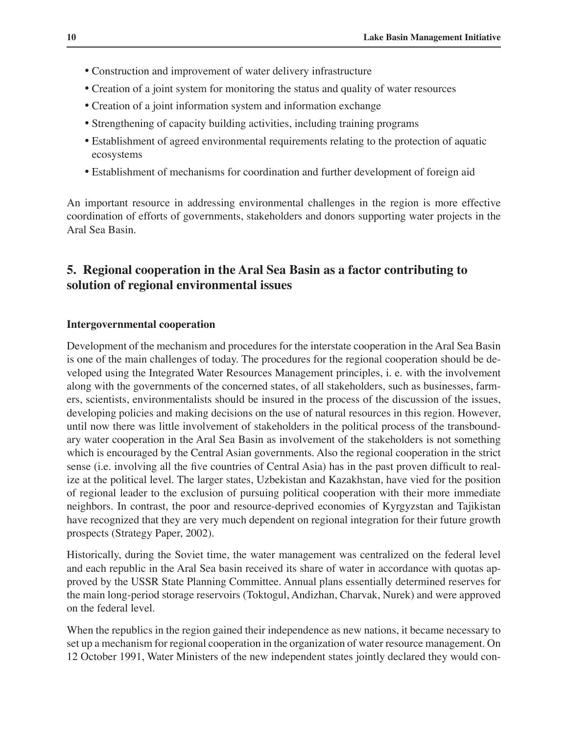- Construction and improvement of water delivery infrastructure
- Creation of a joint system for monitoring the status and quality of water resources
- Creation of a joint information system and information exchange
- Strengthening of capacity building activities, including training programs
- Establishment of agreed environmental requirements relating to the protection of aquatic ecosystems
- Establishment of mechanisms for coordination and further development of foreign aid

An important resource in addressing environmental challenges in the region is more effective coordination of efforts of governments, stakeholders and donors supporting water projects in the Aral Sea Basin.

## **5. Regional cooperation in the Aral Sea Basin as a factor contributing to solution of regional environmental issues**

#### **Intergovernmental cooperation**

Development of the mechanism and procedures for the interstate cooperation in the Aral Sea Basin is one of the main challenges of today. The procedures for the regional cooperation should be developed using the Integrated Water Resources Management principles, i. e. with the involvement along with the governments of the concerned states, of all stakeholders, such as businesses, farmers, scientists, environmentalists should be insured in the process of the discussion of the issues, developing policies and making decisions on the use of natural resources in this region. However, until now there was little involvement of stakeholders in the political process of the transboundary water cooperation in the Aral Sea Basin as involvement of the stakeholders is not something which is encouraged by the Central Asian governments. Also the regional cooperation in the strict sense (i.e. involving all the five countries of Central Asia) has in the past proven difficult to realize at the political level. The larger states, Uzbekistan and Kazakhstan, have vied for the position of regional leader to the exclusion of pursuing political cooperation with their more immediate neighbors. In contrast, the poor and resource-deprived economies of Kyrgyzstan and Tajikistan have recognized that they are very much dependent on regional integration for their future growth prospects (Strategy Paper, 2002).

Historically, during the Soviet time, the water management was centralized on the federal level and each republic in the Aral Sea basin received its share of water in accordance with quotas approved by the USSR State Planning Committee. Annual plans essentially determined reserves for the main long-period storage reservoirs (Toktogul, Andizhan, Charvak, Nurek) and were approved on the federal level.

When the republics in the region gained their independence as new nations, it became necessary to set up a mechanism for regional cooperation in the organization of water resource management. On 12 October 1991, Water Ministers of the new independent states jointly declared they would con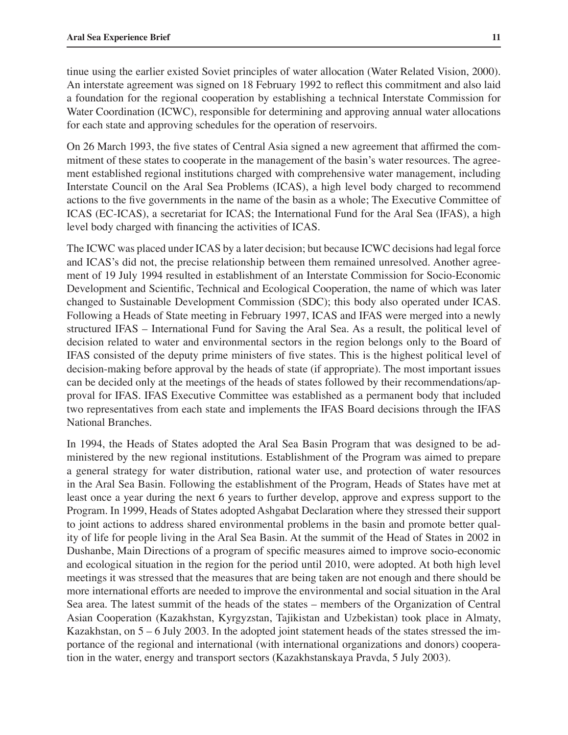tinue using the earlier existed Soviet principles of water allocation (Water Related Vision, 2000). An interstate agreement was signed on 18 February 1992 to reflect this commitment and also laid a foundation for the regional cooperation by establishing a technical Interstate Commission for Water Coordination (ICWC), responsible for determining and approving annual water allocations for each state and approving schedules for the operation of reservoirs.

On 26 March 1993, the five states of Central Asia signed a new agreement that affirmed the commitment of these states to cooperate in the management of the basin's water resources. The agreement established regional institutions charged with comprehensive water management, including Interstate Council on the Aral Sea Problems (ICAS), a high level body charged to recommend actions to the five governments in the name of the basin as a whole; The Executive Committee of ICAS (EC-ICAS), a secretariat for ICAS; the International Fund for the Aral Sea (IFAS), a high level body charged with financing the activities of ICAS.

The ICWC was placed under ICAS by a later decision; but because ICWC decisions had legal force and ICAS's did not, the precise relationship between them remained unresolved. Another agreement of 19 July 1994 resulted in establishment of an Interstate Commission for Socio-Economic Development and Scientific, Technical and Ecological Cooperation, the name of which was later changed to Sustainable Development Commission (SDC); this body also operated under ICAS. Following a Heads of State meeting in February 1997, ICAS and IFAS were merged into a newly structured IFAS – International Fund for Saving the Aral Sea. As a result, the political level of decision related to water and environmental sectors in the region belongs only to the Board of IFAS consisted of the deputy prime ministers of five states. This is the highest political level of decision-making before approval by the heads of state (if appropriate). The most important issues can be decided only at the meetings of the heads of states followed by their recommendations/approval for IFAS. IFAS Executive Committee was established as a permanent body that included two representatives from each state and implements the IFAS Board decisions through the IFAS National Branches.

In 1994, the Heads of States adopted the Aral Sea Basin Program that was designed to be administered by the new regional institutions. Establishment of the Program was aimed to prepare a general strategy for water distribution, rational water use, and protection of water resources in the Aral Sea Basin. Following the establishment of the Program, Heads of States have met at least once a year during the next 6 years to further develop, approve and express support to the Program. In 1999, Heads of States adopted Ashgabat Declaration where they stressed their support to joint actions to address shared environmental problems in the basin and promote better quality of life for people living in the Aral Sea Basin. At the summit of the Head of States in 2002 in Dushanbe, Main Directions of a program of specific measures aimed to improve socio-economic and ecological situation in the region for the period until 2010, were adopted. At both high level meetings it was stressed that the measures that are being taken are not enough and there should be more international efforts are needed to improve the environmental and social situation in the Aral Sea area. The latest summit of the heads of the states – members of the Organization of Central Asian Cooperation (Kazakhstan, Kyrgyzstan, Tajikistan and Uzbekistan) took place in Almaty, Kazakhstan, on  $5 - 6$  July 2003. In the adopted joint statement heads of the states stressed the importance of the regional and international (with international organizations and donors) cooperation in the water, energy and transport sectors (Kazakhstanskaya Pravda, 5 July 2003).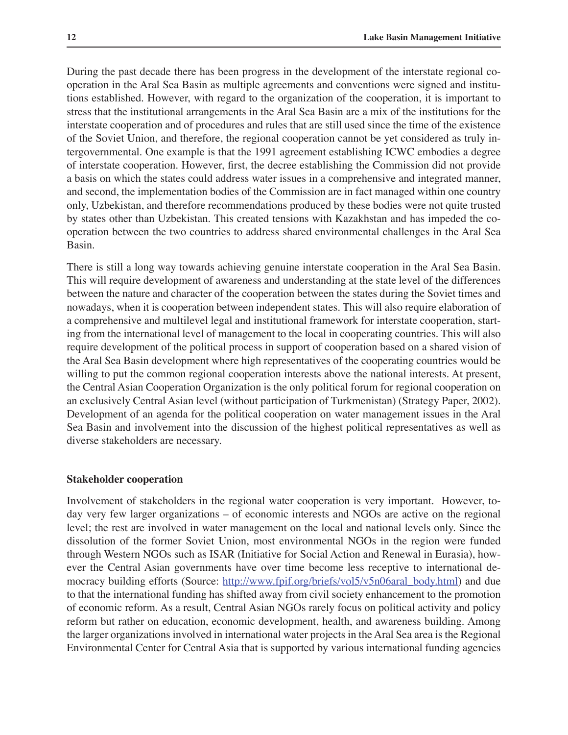During the past decade there has been progress in the development of the interstate regional cooperation in the Aral Sea Basin as multiple agreements and conventions were signed and institutions established. However, with regard to the organization of the cooperation, it is important to stress that the institutional arrangements in the Aral Sea Basin are a mix of the institutions for the interstate cooperation and of procedures and rules that are still used since the time of the existence of the Soviet Union, and therefore, the regional cooperation cannot be yet considered as truly intergovernmental. One example is that the 1991 agreement establishing ICWC embodies a degree of interstate cooperation. However, first, the decree establishing the Commission did not provide a basis on which the states could address water issues in a comprehensive and integrated manner, and second, the implementation bodies of the Commission are in fact managed within one country only, Uzbekistan, and therefore recommendations produced by these bodies were not quite trusted by states other than Uzbekistan. This created tensions with Kazakhstan and has impeded the cooperation between the two countries to address shared environmental challenges in the Aral Sea Basin.

There is still a long way towards achieving genuine interstate cooperation in the Aral Sea Basin. This will require development of awareness and understanding at the state level of the differences between the nature and character of the cooperation between the states during the Soviet times and nowadays, when it is cooperation between independent states. This will also require elaboration of a comprehensive and multilevel legal and institutional framework for interstate cooperation, starting from the international level of management to the local in cooperating countries. This will also require development of the political process in support of cooperation based on a shared vision of the Aral Sea Basin development where high representatives of the cooperating countries would be willing to put the common regional cooperation interests above the national interests. At present, the Central Asian Cooperation Organization is the only political forum for regional cooperation on an exclusively Central Asian level (without participation of Turkmenistan) (Strategy Paper, 2002). Development of an agenda for the political cooperation on water management issues in the Aral Sea Basin and involvement into the discussion of the highest political representatives as well as diverse stakeholders are necessary.

#### **Stakeholder cooperation**

Involvement of stakeholders in the regional water cooperation is very important. However, today very few larger organizations – of economic interests and NGOs are active on the regional level; the rest are involved in water management on the local and national levels only. Since the dissolution of the former Soviet Union, most environmental NGOs in the region were funded through Western NGOs such as ISAR (Initiative for Social Action and Renewal in Eurasia), however the Central Asian governments have over time become less receptive to international democracy building efforts (Source: http://www.fpif.org/briefs/vol5/v5n06aral\_body.html) and due to that the international funding has shifted away from civil society enhancement to the promotion of economic reform. As a result, Central Asian NGOs rarely focus on political activity and policy reform but rather on education, economic development, health, and awareness building. Among the larger organizations involved in international water projects in the Aral Sea area is the Regional Environmental Center for Central Asia that is supported by various international funding agencies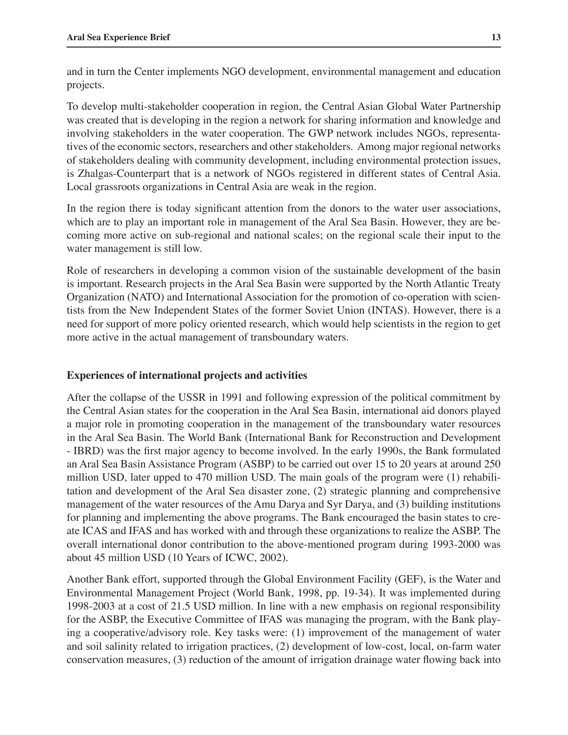and in turn the Center implements NGO development, environmental management and education projects.

To develop multi-stakeholder cooperation in region, the Central Asian Global Water Partnership was created that is developing in the region a network for sharing information and knowledge and involving stakeholders in the water cooperation. The GWP network includes NGOs, representatives of the economic sectors, researchers and other stakeholders. Among major regional networks of stakeholders dealing with community development, including environmental protection issues, is Zhalgas-Counterpart that is a network of NGOs registered in different states of Central Asia. Local grassroots organizations in Central Asia are weak in the region.

In the region there is today significant attention from the donors to the water user associations, which are to play an important role in management of the Aral Sea Basin. However, they are becoming more active on sub-regional and national scales; on the regional scale their input to the water management is still low.

Role of researchers in developing a common vision of the sustainable development of the basin is important. Research projects in the Aral Sea Basin were supported by the North Atlantic Treaty Organization (NATO) and International Association for the promotion of co-operation with scientists from the New Independent States of the former Soviet Union (INTAS). However, there is a need for support of more policy oriented research, which would help scientists in the region to get more active in the actual management of transboundary waters.

#### **Experiences of international projects and activities**

After the collapse of the USSR in 1991 and following expression of the political commitment by the Central Asian states for the cooperation in the Aral Sea Basin, international aid donors played a major role in promoting cooperation in the management of the transboundary water resources in the Aral Sea Basin. The World Bank (International Bank for Reconstruction and Development - IBRD) was the first major agency to become involved. In the early 1990s, the Bank formulated an Aral Sea Basin Assistance Program (ASBP) to be carried out over 15 to 20 years at around 250 million USD, later upped to 470 million USD. The main goals of the program were (1) rehabilitation and development of the Aral Sea disaster zone, (2) strategic planning and comprehensive management of the water resources of the Amu Darya and Syr Darya, and (3) building institutions for planning and implementing the above programs. The Bank encouraged the basin states to create ICAS and IFAS and has worked with and through these organizations to realize the ASBP. The overall international donor contribution to the above-mentioned program during 1993-2000 was about 45 million USD (10 Years of ICWC, 2002).

Another Bank effort, supported through the Global Environment Facility (GEF), is the Water and Environmental Management Project (World Bank, 1998, pp. 19-34). It was implemented during 1998-2003 at a cost of 21.5 USD million. In line with a new emphasis on regional responsibility for the ASBP, the Executive Committee of IFAS was managing the program, with the Bank playing a cooperative/advisory role. Key tasks were: (1) improvement of the management of water and soil salinity related to irrigation practices, (2) development of low-cost, local, on-farm water conservation measures, (3) reduction of the amount of irrigation drainage water flowing back into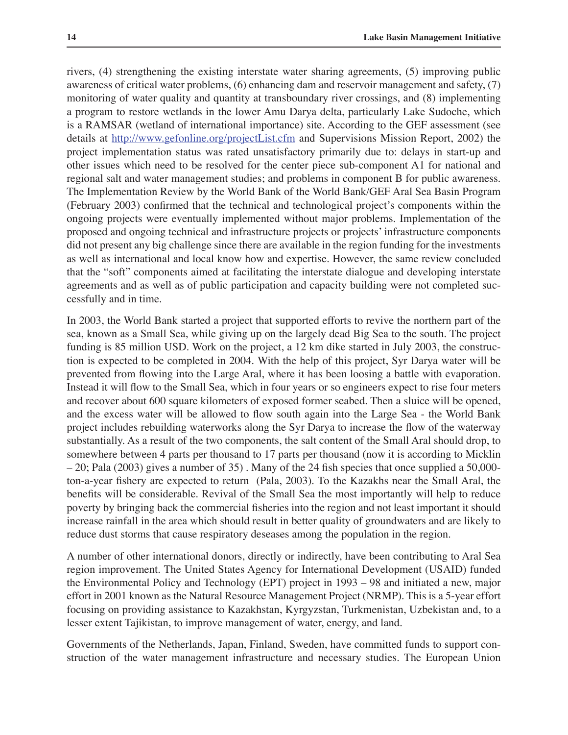rivers, (4) strengthening the existing interstate water sharing agreements, (5) improving public awareness of critical water problems, (6) enhancing dam and reservoir management and safety, (7) monitoring of water quality and quantity at transboundary river crossings, and (8) implementing a program to restore wetlands in the lower Amu Darya delta, particularly Lake Sudoche, which is a RAMSAR (wetland of international importance) site. According to the GEF assessment (see details at http://www.gefonline.org/projectList.cfm and Supervisions Mission Report, 2002) the project implementation status was rated unsatisfactory primarily due to: delays in start-up and other issues which need to be resolved for the center piece sub-component A1 for national and regional salt and water management studies; and problems in component B for public awareness. The Implementation Review by the World Bank of the World Bank/GEF Aral Sea Basin Program (February 2003) confirmed that the technical and technological project's components within the ongoing projects were eventually implemented without major problems. Implementation of the proposed and ongoing technical and infrastructure projects or projects' infrastructure components did not present any big challenge since there are available in the region funding for the investments as well as international and local know how and expertise. However, the same review concluded that the "soft" components aimed at facilitating the interstate dialogue and developing interstate agreements and as well as of public participation and capacity building were not completed successfully and in time.

In 2003, the World Bank started a project that supported efforts to revive the northern part of the sea, known as a Small Sea, while giving up on the largely dead Big Sea to the south. The project funding is 85 million USD. Work on the project, a 12 km dike started in July 2003, the construction is expected to be completed in 2004. With the help of this project, Syr Darya water will be prevented from flowing into the Large Aral, where it has been loosing a battle with evaporation. Instead it will flow to the Small Sea, which in four years or so engineers expect to rise four meters and recover about 600 square kilometers of exposed former seabed. Then a sluice will be opened, and the excess water will be allowed to flow south again into the Large Sea - the World Bank project includes rebuilding waterworks along the Syr Darya to increase the flow of the waterway substantially. As a result of the two components, the salt content of the Small Aral should drop, to somewhere between 4 parts per thousand to 17 parts per thousand (now it is according to Micklin – 20; Pala (2003) gives a number of 35) . Many of the 24 fish species that once supplied a 50,000 ton-a-year fishery are expected to return (Pala, 2003). To the Kazakhs near the Small Aral, the benefits will be considerable. Revival of the Small Sea the most importantly will help to reduce poverty by bringing back the commercial fisheries into the region and not least important it should increase rainfall in the area which should result in better quality of groundwaters and are likely to reduce dust storms that cause respiratory deseases among the population in the region.

A number of other international donors, directly or indirectly, have been contributing to Aral Sea region improvement. The United States Agency for International Development (USAID) funded the Environmental Policy and Technology (EPT) project in 1993 – 98 and initiated a new, major effort in 2001 known as the Natural Resource Management Project (NRMP). This is a 5-year effort focusing on providing assistance to Kazakhstan, Kyrgyzstan, Turkmenistan, Uzbekistan and, to a lesser extent Tajikistan, to improve management of water, energy, and land.

Governments of the Netherlands, Japan, Finland, Sweden, have committed funds to support construction of the water management infrastructure and necessary studies. The European Union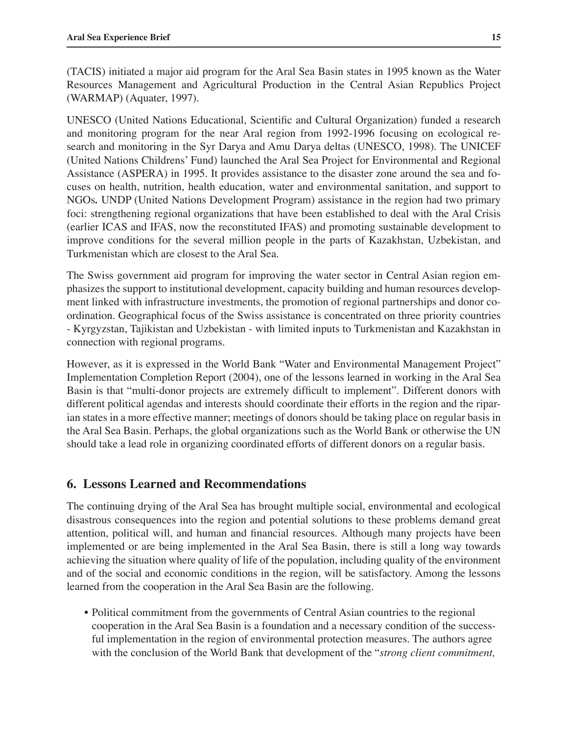(TACIS) initiated a major aid program for the Aral Sea Basin states in 1995 known as the Water Resources Management and Agricultural Production in the Central Asian Republics Project (WARMAP) (Aquater, 1997).

UNESCO (United Nations Educational, Scientific and Cultural Organization) funded a research and monitoring program for the near Aral region from 1992-1996 focusing on ecological research and monitoring in the Syr Darya and Amu Darya deltas (UNESCO, 1998). The UNICEF (United Nations Childrens' Fund) launched the Aral Sea Project for Environmental and Regional Assistance (ASPERA) in 1995. It provides assistance to the disaster zone around the sea and focuses on health, nutrition, health education, water and environmental sanitation, and support to NGOs*.* UNDP (United Nations Development Program) assistance in the region had two primary foci: strengthening regional organizations that have been established to deal with the Aral Crisis (earlier ICAS and IFAS, now the reconstituted IFAS) and promoting sustainable development to improve conditions for the several million people in the parts of Kazakhstan, Uzbekistan, and Turkmenistan which are closest to the Aral Sea.

The Swiss government aid program for improving the water sector in Central Asian region emphasizes the support to institutional development, capacity building and human resources development linked with infrastructure investments, the promotion of regional partnerships and donor coordination. Geographical focus of the Swiss assistance is concentrated on three priority countries - Kyrgyzstan, Tajikistan and Uzbekistan - with limited inputs to Turkmenistan and Kazakhstan in connection with regional programs.

However, as it is expressed in the World Bank "Water and Environmental Management Project" Implementation Completion Report (2004), one of the lessons learned in working in the Aral Sea Basin is that "multi-donor projects are extremely difficult to implement". Different donors with different political agendas and interests should coordinate their efforts in the region and the riparian states in a more effective manner; meetings of donors should be taking place on regular basis in the Aral Sea Basin. Perhaps, the global organizations such as the World Bank or otherwise the UN should take a lead role in organizing coordinated efforts of different donors on a regular basis.

## **6. Lessons Learned and Recommendations**

The continuing drying of the Aral Sea has brought multiple social, environmental and ecological disastrous consequences into the region and potential solutions to these problems demand great attention, political will, and human and financial resources. Although many projects have been implemented or are being implemented in the Aral Sea Basin, there is still a long way towards achieving the situation where quality of life of the population, including quality of the environment and of the social and economic conditions in the region, will be satisfactory. Among the lessons learned from the cooperation in the Aral Sea Basin are the following.

• Political commitment from the governments of Central Asian countries to the regional cooperation in the Aral Sea Basin is a foundation and a necessary condition of the successful implementation in the region of environmental protection measures. The authors agree with the conclusion of the World Bank that development of the "*strong client commitment,*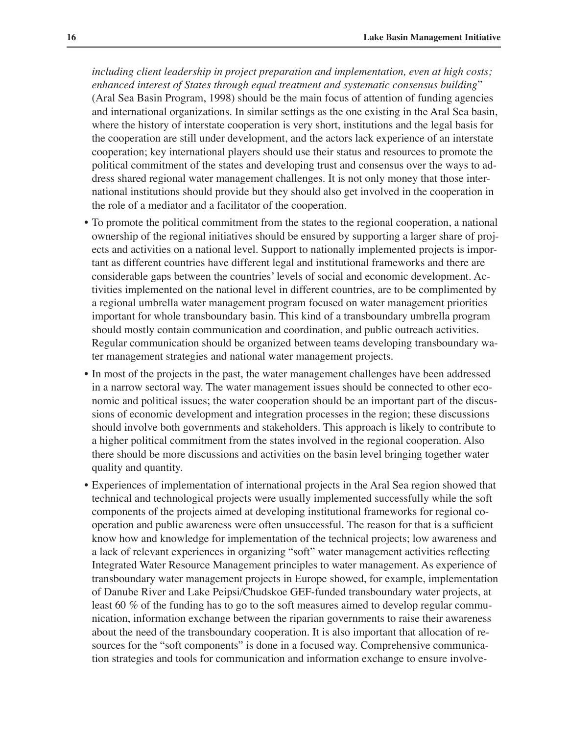*including client leadership in project preparation and implementation, even at high costs; enhanced interest of States through equal treatment and systematic consensus building*" (Aral Sea Basin Program, 1998) should be the main focus of attention of funding agencies and international organizations. In similar settings as the one existing in the Aral Sea basin, where the history of interstate cooperation is very short, institutions and the legal basis for the cooperation are still under development, and the actors lack experience of an interstate cooperation; key international players should use their status and resources to promote the political commitment of the states and developing trust and consensus over the ways to address shared regional water management challenges. It is not only money that those international institutions should provide but they should also get involved in the cooperation in the role of a mediator and a facilitator of the cooperation.

- To promote the political commitment from the states to the regional cooperation, a national ownership of the regional initiatives should be ensured by supporting a larger share of projects and activities on a national level. Support to nationally implemented projects is important as different countries have different legal and institutional frameworks and there are considerable gaps between the countries' levels of social and economic development. Activities implemented on the national level in different countries, are to be complimented by a regional umbrella water management program focused on water management priorities important for whole transboundary basin. This kind of a transboundary umbrella program should mostly contain communication and coordination, and public outreach activities. Regular communication should be organized between teams developing transboundary water management strategies and national water management projects.
- In most of the projects in the past, the water management challenges have been addressed in a narrow sectoral way. The water management issues should be connected to other economic and political issues; the water cooperation should be an important part of the discussions of economic development and integration processes in the region; these discussions should involve both governments and stakeholders. This approach is likely to contribute to a higher political commitment from the states involved in the regional cooperation. Also there should be more discussions and activities on the basin level bringing together water quality and quantity.
- Experiences of implementation of international projects in the Aral Sea region showed that technical and technological projects were usually implemented successfully while the soft components of the projects aimed at developing institutional frameworks for regional cooperation and public awareness were often unsuccessful. The reason for that is a sufficient know how and knowledge for implementation of the technical projects; low awareness and a lack of relevant experiences in organizing "soft" water management activities reflecting Integrated Water Resource Management principles to water management. As experience of transboundary water management projects in Europe showed, for example, implementation of Danube River and Lake Peipsi/Chudskoe GEF-funded transboundary water projects, at least 60 % of the funding has to go to the soft measures aimed to develop regular communication, information exchange between the riparian governments to raise their awareness about the need of the transboundary cooperation. It is also important that allocation of resources for the "soft components" is done in a focused way. Comprehensive communication strategies and tools for communication and information exchange to ensure involve-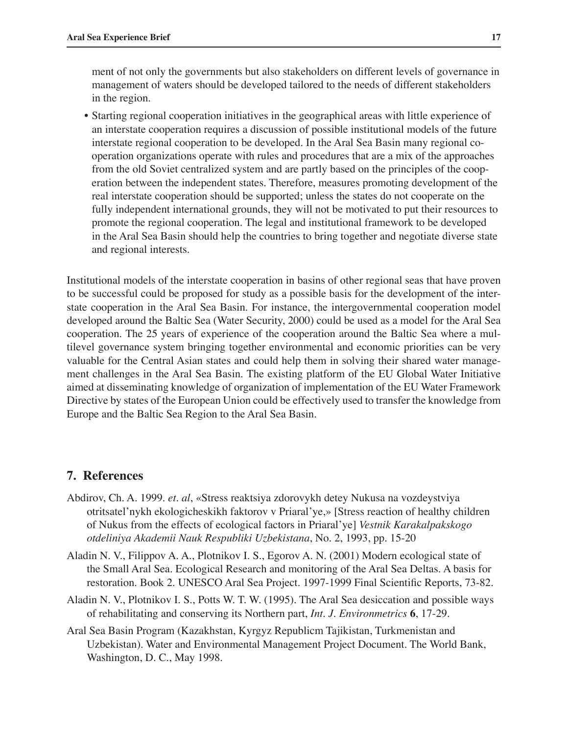ment of not only the governments but also stakeholders on different levels of governance in management of waters should be developed tailored to the needs of different stakeholders in the region.

• Starting regional cooperation initiatives in the geographical areas with little experience of an interstate cooperation requires a discussion of possible institutional models of the future interstate regional cooperation to be developed. In the Aral Sea Basin many regional cooperation organizations operate with rules and procedures that are a mix of the approaches from the old Soviet centralized system and are partly based on the principles of the cooperation between the independent states. Therefore, measures promoting development of the real interstate cooperation should be supported; unless the states do not cooperate on the fully independent international grounds, they will not be motivated to put their resources to promote the regional cooperation. The legal and institutional framework to be developed in the Aral Sea Basin should help the countries to bring together and negotiate diverse state and regional interests.

Institutional models of the interstate cooperation in basins of other regional seas that have proven to be successful could be proposed for study as a possible basis for the development of the interstate cooperation in the Aral Sea Basin. For instance, the intergovernmental cooperation model developed around the Baltic Sea (Water Security, 2000) could be used as a model for the Aral Sea cooperation. The 25 years of experience of the cooperation around the Baltic Sea where a multilevel governance system bringing together environmental and economic priorities can be very valuable for the Central Asian states and could help them in solving their shared water management challenges in the Aral Sea Basin. The existing platform of the EU Global Water Initiative aimed at disseminating knowledge of organization of implementation of the EU Water Framework Directive by states of the European Union could be effectively used to transfer the knowledge from Europe and the Baltic Sea Region to the Aral Sea Basin.

## **7. References**

- Abdirov, Ch. A. 1999. *et. al*, «Stress reaktsiya zdorovykh detey Nukusa na vozdeystviya otritsatel'nykh ekologicheskikh faktorov v Priaral'ye,» [Stress reaction of healthy children of Nukus from the effects of ecological factors in Priaral'ye] *Vestnik Karakalpakskogo otdeliniya Akademii Nauk Respubliki Uzbekistana*, No. 2, 1993, pp. 15-20
- Aladin N. V., Filippov A. A., Plotnikov I. S., Egorov A. N. (2001) Modern ecological state of the Small Aral Sea. Ecological Research and monitoring of the Aral Sea Deltas. A basis for restoration. Book 2. UNESCO Aral Sea Project. 1997-1999 Final Scientific Reports, 73-82.
- Aladin N. V., Plotnikov I. S., Potts W. T. W. (1995). The Aral Sea desiccation and possible ways of rehabilitating and conserving its Northern part, *Int. J. Environmetrics* **6**, 17-29.
- Aral Sea Basin Program (Kazakhstan, Kyrgyz Republicm Tajikistan, Turkmenistan and Uzbekistan). Water and Environmental Management Project Document. The World Bank, Washington, D. C., May 1998.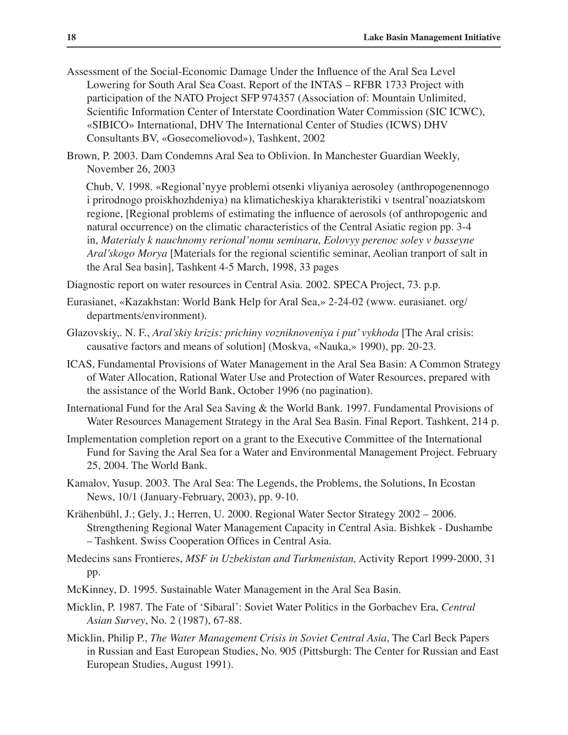- Assessment of the Social-Economic Damage Under the Influence of the Aral Sea Level Lowering for South Aral Sea Coast. Report of the INTAS – RFBR 1733 Project with participation of the NATO Project SFP 974357 (Association of: Mountain Unlimited, Scientific Information Center of Interstate Coordination Water Commission (SIC ICWC), «SIBICO» International, DHV The International Center of Studies (ICWS) DHV Consultants BV, «Gosecomeliovod»), Tashkent, 2002
- Brown, P. 2003. Dam Condemns Aral Sea to Oblivion. In Manchester Guardian Weekly, November 26, 2003

 Chub, V. 1998. «Regional'nyye problemi otsenki vliyaniya aerosoley (anthropogenennogo i prirodnogo proiskhozhdeniya) na klimaticheskiya kharakteristiki v tsentral'noaziatskom regione, [Regional problems of estimating the influence of aerosols (of anthropogenic and natural occurrence) on the climatic characteristics of the Central Asiatic region pp. 3-4 in, *Materialy k nauchnomy rerional'nomu seminaru, Eolovyy perenoc soley v basseyne Aral'skogo Morya* [Materials for the regional scientific seminar, Aeolian tranport of salt in the Aral Sea basin], Tashkent 4-5 March, 1998, 33 pages

- Diagnostic report on water resources in Central Asia. 2002. SPECA Project, 73. p.p.
- Eurasianet, «Kazakhstan: World Bank Help for Aral Sea,» 2-24-02 (www. eurasianet. org/ departments/environment).
- Glazovskiy,. N. F., *Aral'skiy krizis: prichiny vozniknoveniya i put' vykhoda* [The Aral crisis: causative factors and means of solution] (Moskva, «Nauka,» 1990), pp. 20-23.
- ICAS, Fundamental Provisions of Water Management in the Aral Sea Basin: A Common Strategy of Water Allocation, Rational Water Use and Protection of Water Resources, prepared with the assistance of the World Bank, October 1996 (no pagination).
- International Fund for the Aral Sea Saving & the World Bank. 1997. Fundamental Provisions of Water Resources Management Strategy in the Aral Sea Basin. Final Report. Tashkent, 214 p.
- Implementation completion report on a grant to the Executive Committee of the International Fund for Saving the Aral Sea for a Water and Environmental Management Project. February 25, 2004. The World Bank.
- Kamalov, Yusup. 2003. The Aral Sea: The Legends, the Problems, the Solutions, In Ecostan News, 10/1 (January-February, 2003), pp. 9-10.
- Krähenbühl, J.; Gely, J.; Herren, U. 2000. Regional Water Sector Strategy 2002 2006. Strengthening Regional Water Management Capacity in Central Asia. Bishkek - Dushambe – Tashkent. Swiss Cooperation Offices in Central Asia.
- Medecins sans Frontieres, *MSF in Uzbekistan and Turkmenistan,* Activity Report 1999-2000, 31 pp.
- McKinney, D. 1995. Sustainable Water Management in the Aral Sea Basin.
- Micklin, P. 1987. The Fate of ʻSibaral': Soviet Water Politics in the Gorbachev Era, *Central Asian Survey*, No. 2 (1987), 67-88.
- Micklin, Philip P., *The Water Management Crisis in Soviet Central Asia*, The Carl Beck Papers in Russian and East European Studies, No. 905 (Pittsburgh: The Center for Russian and East European Studies, August 1991).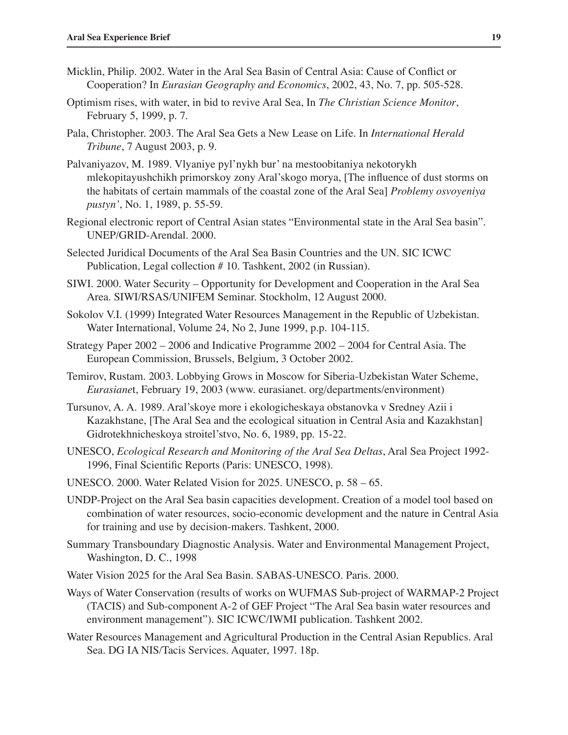- Micklin, Philip. 2002. Water in the Aral Sea Basin of Central Asia: Cause of Conflict or Cooperation? In *Eurasian Geography and Economics*, 2002, 43, No. 7, pp. 505-528.
- Optimism rises, with water, in bid to revive Aral Sea, In *The Christian Science Monitor*, February 5, 1999, p. 7.
- Pala, Christopher. 2003. The Aral Sea Gets a New Lease on Life. In *International Herald Tribune*, 7 August 2003, p. 9.
- Palvaniyazov, M. 1989. Vlyaniye pyl'nykh bur' na mestoobitaniya nekotorykh mlekopitayushchikh primorskoy zony Aral'skogo morya, [The influence of dust storms on the habitats of certain mammals of the coastal zone of the Aral Sea] *Problemy osvoyeniya pustyn'*, No. 1, 1989, p. 55-59.
- Regional electronic report of Central Asian states "Environmental state in the Aral Sea basin". UNEP/GRID-Arendal. 2000.
- Selected Juridical Documents of the Aral Sea Basin Countries and the UN. SIC ICWC Publication, Legal collection # 10. Tashkent, 2002 (in Russian).
- SIWI. 2000. Water Security Opportunity for Development and Cooperation in the Aral Sea Area. SIWI/RSAS/UNIFEM Seminar. Stockholm, 12 August 2000.
- Sokolov V.I. (1999) Integrated Water Resources Management in the Republic of Uzbekistan. Water International, Volume 24, No 2, June 1999, p.p. 104-115.
- Strategy Paper 2002 2006 and Indicative Programme 2002 2004 for Central Asia. The European Commission, Brussels, Belgium, 3 October 2002.
- Temirov, Rustam. 2003. Lobbying Grows in Moscow for Siberia-Uzbekistan Water Scheme, *Eurasiane*t, February 19, 2003 (www. eurasianet. org/departments/environment)
- Tursunov, A. A. 1989. Aral'skoye more i ekologicheskaya obstanovka v Sredney Azii i Kazakhstane, [The Aral Sea and the ecological situation in Central Asia and Kazakhstan] Gidrotekhnicheskoya stroitel'stvo, No. 6, 1989, pp. 15-22.
- UNESCO, *Ecological Research and Monitoring of the Aral Sea Deltas*, Aral Sea Project 1992- 1996, Final Scientific Reports (Paris: UNESCO, 1998).
- UNESCO. 2000. Water Related Vision for 2025. UNESCO, p. 58 65.
- UNDP-Project on the Aral Sea basin capacities development. Creation of a model tool based on combination of water resources, socio-economic development and the nature in Central Asia for training and use by decision-makers. Tashkent, 2000.
- Summary Transboundary Diagnostic Analysis. Water and Environmental Management Project, Washington, D. C., 1998
- Water Vision 2025 for the Aral Sea Basin. SABAS-UNESCO. Paris. 2000.
- Ways of Water Conservation (results of works on WUFMAS Sub-project of WARMAP-2 Project (TACIS) and Sub-component A-2 of GEF Project "The Aral Sea basin water resources and environment management"). SIC ICWC/IWMI publication. Tashkent 2002.
- Water Resources Management and Agricultural Production in the Central Asian Republics. Aral Sea. DG IA NIS/Tacis Services. Aquater, 1997. 18p.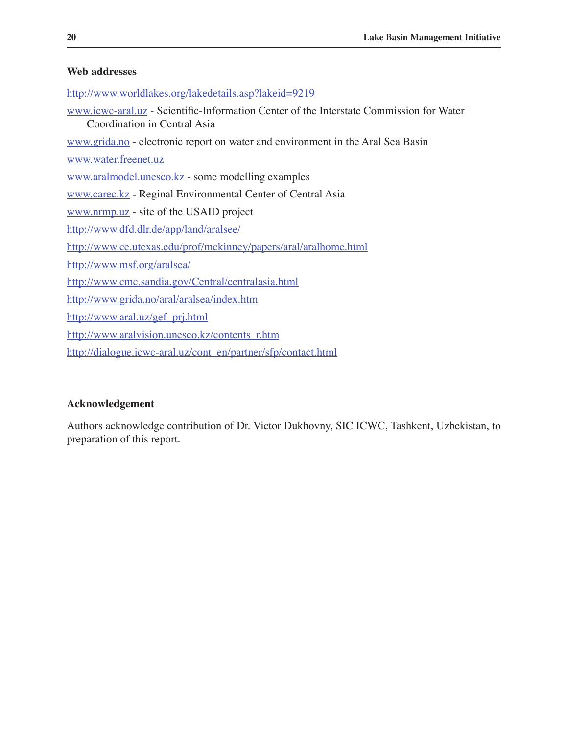## **Web addresses**

http://www.worldlakes.org/lakedetails.asp?lakeid=9219 www.icwc-aral.uz - Scientific-Information Center of the Interstate Commission for Water Coordination in Central Asia www.grida.no - electronic report on water and environment in the Aral Sea Basin www.water.freenet.uz www.aralmodel.unesco.kz - some modelling examples www.carec.kz - Reginal Environmental Center of Central Asia www.nrmp.uz - site of the USAID project http://www.dfd.dlr.de/app/land/aralsee/ http://www.ce.utexas.edu/prof/mckinney/papers/aral/aralhome.html http://www.msf.org/aralsea/ http://www.cmc.sandia.gov/Central/centralasia.html http://www.grida.no/aral/aralsea/index.htm http://www.aral.uz/gef\_prj.html http://www.aralvision.unesco.kz/contents\_r.htm http://dialogue.icwc-aral.uz/cont\_en/partner/sfp/contact.html

### **Acknowledgement**

Authors acknowledge contribution of Dr. Victor Dukhovny, SIC ICWC, Tashkent, Uzbekistan, to preparation of this report.